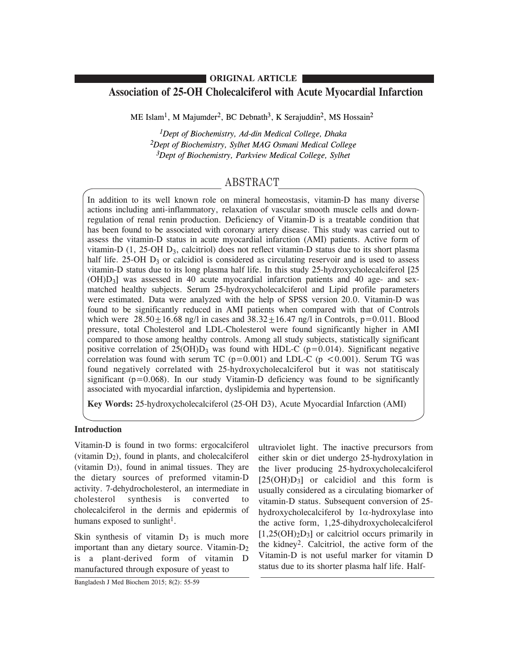## **ORIGINAL ARTICLE**

# **Association of 25-OH Cholecalciferol with Acute Myocardial Infarction**

ME Islam<sup>1</sup>, M Majumder<sup>2</sup>, BC Debnath<sup>3</sup>, K Serajuddin<sup>2</sup>, MS Hossain<sup>2</sup>

*1Dept of Biochemistry, Ad-din Medical College, Dhaka 2Dept of Biochemistry, Sylhet MAG Osmani Medical College 3Dept of Biochemistry, Parkview Medical College, Sylhet*

# ABSTRACT

In addition to its well known role on mineral homeostasis, vitamin-D has many diverse actions including anti-inflammatory, relaxation of vascular smooth muscle cells and downregulation of renal renin production. Deficiency of Vitamin-D is a treatable condition that has been found to be associated with coronary artery disease. This study was carried out to assess the vitamin-D status in acute myocardial infarction (AMI) patients. Active form of vitamin-D  $(1, 25$ -OH  $D_3$ , calcitriol) does not reflect vitamin-D status due to its short plasma half life. 25-OH  $D_3$  or calcidiol is considered as circulating reservoir and is used to assess vitamin-D status due to its long plasma half life. In this study 25-hydroxycholecalciferol [25  $(OH)D<sub>3</sub>$ ] was assessed in 40 acute myocardial infarction patients and 40 age- and sexmatched healthy subjects. Serum 25-hydroxycholecalciferol and Lipid profile parameters were estimated. Data were analyzed with the help of SPSS version 20.0. Vitamin-D was found to be significantly reduced in AMI patients when compared with that of Controls which were  $28.50 \pm 16.68$  ng/l in cases and  $38.32 \pm 16.47$  ng/l in Controls, p=0.011. Blood pressure, total Cholesterol and LDL-Cholesterol were found significantly higher in AMI compared to those among healthy controls. Among all study subjects, statistically significant positive correlation of  $25(OH)D_3$  was found with HDL-C (p=0.014). Significant negative correlation was found with serum TC ( $p=0.001$ ) and LDL-C ( $p < 0.001$ ). Serum TG was found negatively correlated with 25-hydroxycholecalciferol but it was not statitiscaly significant ( $p=0.068$ ). In our study Vitamin-D deficiency was found to be significantly associated with myocardial infarction, dyslipidemia and hypertension.

**Key Words:** 25-hydroxycholecalciferol (25-OH D3), Acute Myocardial Infarction (AMI)

## **Introduction**

Vitamin-D is found in two forms: ergocalciferol (vitamin  $D_2$ ), found in plants, and cholecalciferol (vitamin  $D_3$ ), found in animal tissues. They are the dietary sources of preformed vitamin-D activity. 7-dehydrocholesterol, an intermediate in cholesterol synthesis is converted to cholecalciferol in the dermis and epidermis of humans exposed to sunlight<sup>1</sup>.

Skin synthesis of vitamin  $D_3$  is much more important than any dietary source. Vitamin-D2 is a plant-derived form of vitamin D manufactured through exposure of yeast to

ultraviolet light. The inactive precursors from either skin or diet undergo 25-hydroxylation in the liver producing 25-hydroxycholecalciferol  $[25(OH)D<sub>3</sub>]$  or calcidiol and this form is usually considered as a circulating biomarker of vitamin-D status. Subsequent conversion of 25 hydroxycholecalciferol by  $1\alpha$ -hydroxylase into the active form, 1,25-dihydroxycholecalciferol  $[1,25(OH)<sub>2</sub>D<sub>3</sub>]$  or calcitriol occurs primarily in the kidney2. Calcitriol, the active form of the Vitamin-D is not useful marker for vitamin D status due to its shorter plasma half life. Half-

Bangladesh J Med Biochem 2015; 8(2): 55-59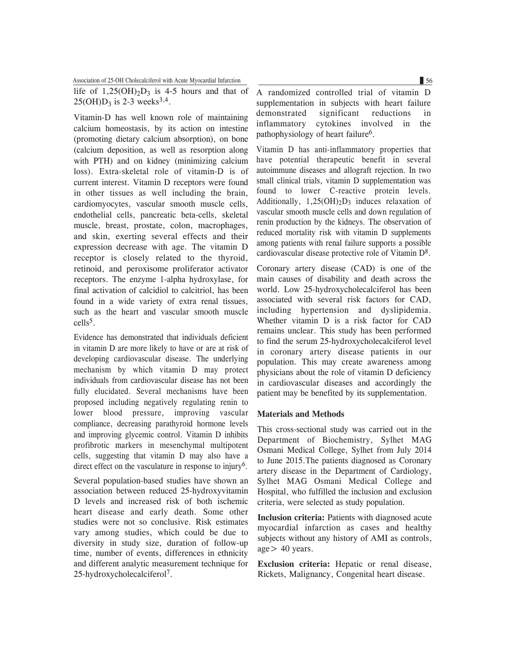Association of 25-OH Cholecalciferol with Acute Myocardial Infarction 56

life of  $1,25(OH)_{2}D_{3}$  is 4-5 hours and that of  $25(OH)D_3$  is 2-3 weeks<sup>3,4</sup>.

Vitamin-D has well known role of maintaining calcium homeostasis, by its action on intestine (promoting dietary calcium absorption), on bone (calcium deposition, as well as resorption along with PTH) and on kidney (minimizing calcium loss). Extra-skeletal role of vitamin-D is of current interest. Vitamin D receptors were found in other tissues as well including the brain, cardiomyocytes, vascular smooth muscle cells, endothelial cells, pancreatic beta-cells, skeletal muscle, breast, prostate, colon, macrophages, and skin, exerting several effects and their expression decrease with age. The vitamin D receptor is closely related to the thyroid, retinoid, and peroxisome proliferator activator receptors. The enzyme 1-alpha hydroxylase, for final activation of calcidiol to calcitriol, has been found in a wide variety of extra renal tissues, such as the heart and vascular smooth muscle cells5.

Evidence has demonstrated that individuals deficient in vitamin D are more likely to have or are at risk of developing cardiovascular disease. The underlying mechanism by which vitamin D may protect individuals from cardiovascular disease has not been fully elucidated. Several mechanisms have been proposed including negatively regulating renin to lower blood pressure, improving vascular compliance, decreasing parathyroid hormone levels and improving glycemic control. Vitamin D inhibits profibrotic markers in mesenchymal multipotent cells, suggesting that vitamin D may also have a direct effect on the vasculature in response to injury6.

Several population-based studies have shown an association between reduced 25-hydroxyvitamin D levels and increased risk of both ischemic heart disease and early death. Some other studies were not so conclusive. Risk estimates vary among studies, which could be due to diversity in study size, duration of follow-up time, number of events, differences in ethnicity and different analytic measurement technique for 25-hydroxycholecalciferol 7.

A randomized controlled trial of vitamin D supplementation in subjects with heart failure demonstrated significant reductions in inflammatory cytokines involved in the pathophysiology of heart failure6.

Vitamin D has anti-inflammatory properties that have potential therapeutic benefit in several autoimmune diseases and allograft rejection. In two small clinical trials, vitamin D supplementation was found to lower C-reactive protein levels. Additionally,  $1,25(OH)_{2}D_{3}$  induces relaxation of vascular smooth muscle cells and down regulation of renin production by the kidneys. The observation of reduced mortality risk with vitamin D supplements among patients with renal failure supports a possible cardiovascular disease protective role of Vitamin D8.

Coronary artery disease (CAD) is one of the main causes of disability and death across the world. Low 25-hydroxycholecalciferol has been associated with several risk factors for CAD, including hypertension and dyslipidemia. Whether vitamin D is a risk factor for CAD remains unclear. This study has been performed to find the serum 25-hydroxycholecalciferol level in coronary artery disease patients in our population. This may create awareness among physicians about the role of vitamin D deficiency in cardiovascular diseases and accordingly the patient may be benefited by its supplementation.

### **Materials and Methods**

This cross-sectional study was carried out in the Department of Biochemistry, Sylhet MAG Osmani Medical College, Sylhet from July 2014 to June 2015.The patients diagnosed as Coronary artery disease in the Department of Cardiology, Sylhet MAG Osmani Medical College and Hospital, who fulfilled the inclusion and exclusion criteria, were selected as study population.

**Inclusion criteria:** Patients with diagnosed acute myocardial infarction as cases and healthy subjects without any history of AMI as controls,  $age > 40 years$ .

**Exclusion criteria:** Hepatic or renal disease, Rickets, Malignancy, Congenital heart disease.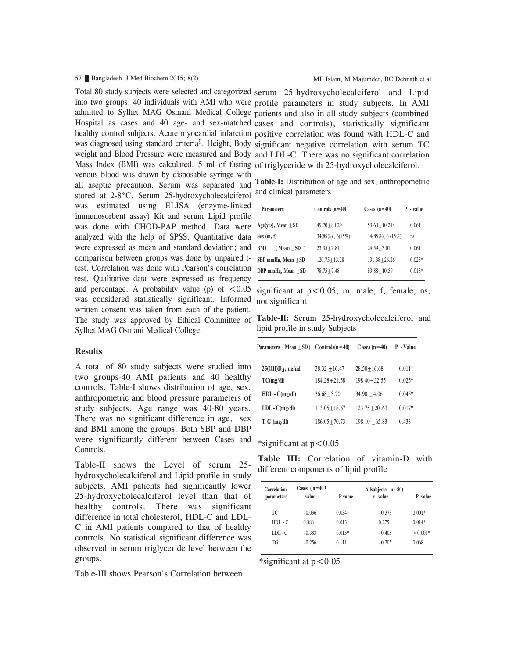#### 57 Bangladesh J Med Biochem 2015; 8(2) ME Islam, M Majumder, BC Debnath et al

Total 80 study subjects were selected and categorized serum 25-hydroxycholecalciferol and Lipid into two groups: 40 individuals with AMI who were profile parameters in study subjects. In AMI admitted to Sylhet MAG Osmani Medical College patients and also in all study subjects (combined Hospital as cases and 40 age- and sex-matched cases and controls), statistically significant healthy control subjects. Acute myocardial infarction positive correlation was found with HDL-C and was diagnosed using standard criteria<sup>9</sup>. Height, Body significant negative correlation with serum TC weight and Blood Pressure were measured and Body and LDL-C. There was no significant correlation Mass Index (BMI) was calculated. 5 ml of fasting of triglyceride with 25-hydroxycholecalciferol. was considered statistically significant. Informed not significant venous blood was drawn by disposable syringe with all aseptic precaution. Serum was separated and stored at 2-8°C. Serum 25-hydroxycholecalciferol was estimated using ELISA (enzyme-linked immunosorbent assay) Kit and serum Lipid profile was done with CHOD-PAP method. Data were analyzed with the help of SPSS. Quantitative data were expressed as mean and standard deviation; and comparison between groups was done by unpaired ttest. Correlation was done with Pearson's correlation test. Qualitative data were expressed as frequency and percentage. A probability value (p) of  $\leq 0.05$ written consent was taken from each of the patient. The study was approved by Ethical Committee of Sylhet MAG Osmani Medical College.

### **Results**

A total of 80 study subjects were studied into two groups-40 AMI patients and 40 healthy controls. Table-I shows distribution of age, sex, anthropometric and blood pressure parameters of study subjects. Age range was 40-80 years. There was no significant difference in age, sex and BMI among the groups. Both SBP and DBP were significantly different between Cases and Controls.

Table-II shows the Level of serum 25 hydroxycholecalciferol and Lipid profile in study subjects. AMI patients had significantly lower 25-hydroxycholecalciferol level than that of healthy controls. There was significant difference in total cholesterol, HDL-C and LDL-C in AMI patients compared to that of healthy controls. No statistical significant difference was observed in serum triglyceride level between the groups.

Table-III shows Pearson's Correlation between

**Table-I:** Distribution of age and sex, anthropometric and clinical parameters

| <b>Parameters</b>       | Controls $(n=40)$      | Cases $(n=40)$   | P - value |
|-------------------------|------------------------|------------------|-----------|
| Age(yrs), Mean ±SD      | $49.70 + 8.029$        | $53.60 + 10.218$ | 0.061     |
| Sex(m, f)               | $34(85\%)$ , $6(15\%)$ | 34(85%), 6 (15%) | ns        |
| BMI<br>$(Mean \pm SD)$  | $23.35 + 2.81$         | $24.59 + 3.01$   | 0.061     |
| SBP mmHg, Mean $\pm$ SD | $120.75 + 13.28$       | $131.38 + 26.26$ | $0.025*$  |
| DBP mmHg, Mean + SD     | $78.75 + 7.48$         | $83.88 + 10.59$  | $0.015*$  |
|                         |                        |                  |           |

significant at  $p < 0.05$ ; m, male; f, female; ns,

**Table-Il:** Serum 25-hydroxycholecalciferol and lipid profile in study Subjects

| Parameters (Mean $\pm$ SD) | $C$ ontrols $(n=40)$ | C ases $(n=40)$  | P - Value |
|----------------------------|----------------------|------------------|-----------|
| $25(OH)D_3$ , ng/ml        | $38.32 + 16.47$      | $28.50 + 16.68$  | $0.011*$  |
| TC(mg/dl)                  | $184.28 + 21.58$     | $198.40 + 32.55$ | $0.025*$  |
| $HDL - C(mg/dl)$           | $36.68 + 3.70$       | $34.90 + 4.06$   | $0.045*$  |
| $LDL - C(mg/dl)$           | $113.05 + 18.67$     | $123.75 + 20.63$ | $0.017*$  |
| T G (mg/dl)                | $186.05 + 70.73$     | $198.10 + 65.83$ | 0.433     |
|                            |                      |                  |           |

\*significant at  $p < 0.05$ 

**Table III:** Correlation of vitamin-D with different components of lipid profile

| Correlation<br>parameters | Cases $(n=40)$<br>r-value | P-value  | Allsubjects $(n=80)$<br>r - value | P-value    |
|---------------------------|---------------------------|----------|-----------------------------------|------------|
| TC                        | $-0.036$                  | $0.034*$ | $-0.373$                          | $0.001*$   |
| $HDL - C$                 | 0.388                     | $0.013*$ | 0.275                             | $0.014*$   |
| $LDL-C$                   | $-0.383$                  | $0.015*$ | $-0.405$                          | $< 0.001*$ |
| TG                        | $-0.256$                  | 0.111    | $-0.205$                          | 0.068      |

\*significant at  $p < 0.05$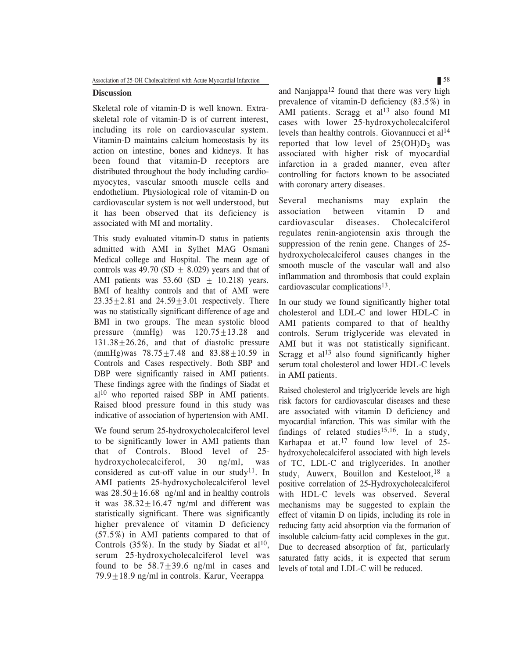## **Discussion**

Skeletal role of vitamin-D is well known. Extraskeletal role of vitamin-D is of current interest, including its role on cardiovascular system. Vitamin-D maintains calcium homeostasis by its action on intestine, bones and kidneys. It has been found that vitamin-D receptors are distributed throughout the body including cardiomyocytes, vascular smooth muscle cells and endothelium. Physiological role of vitamin-D on cardiovascular system is not well understood, but it has been observed that its deficiency is associated with MI and mortality.

This study evaluated vitamin-D status in patients admitted with AMI in Sylhet MAG Osmani Medical college and Hospital. The mean age of controls was 49.70 (SD  $\pm$  8.029) years and that of AMI patients was  $53.60$  (SD + 10.218) years. BMI of healthy controls and that of AMI were  $23.35 \pm 2.81$  and  $24.59 \pm 3.01$  respectively. There was no statistically significant difference of age and BMI in two groups. The mean systolic blood pressure (mmHg) was  $120.75 \pm 13.28$  and  $131.38 \pm 26.26$ , and that of diastolic pressure  $(mmHg)$ was 78.75 $\pm$ 7.48 and 83.88 $\pm$ 10.59 in Controls and Cases respectively. Both SBP and DBP were significantly raised in AMI patients. These findings agree with the findings of Siadat et al<sup>10</sup> who reported raised SBP in AMI patients. Raised blood pressure found in this study was indicative of association of hypertension with AMI.

We found serum 25-hydroxycholecalciferol level to be significantly lower in AMI patients than that of Controls. Blood level of 25 hydroxycholecalciferol, 30 ng/ml, was considered as cut-off value in our study<sup>11</sup>. In AMI patients 25-hydroxycholecalciferol level was  $28.50 \pm 16.68$  ng/ml and in healthy controls it was  $38.32 \pm 16.47$  ng/ml and different was statistically significant. There was significantly higher prevalence of vitamin D deficiency (57.5%) in AMI patients compared to that of Controls  $(35\%)$ . In the study by Siadat et al<sup>10</sup>, serum 25-hydroxycholecalciferol level was found to be  $58.7 \pm 39.6$  ng/ml in cases and  $79.9 \pm 18.9$  ng/ml in controls. Karur, Veerappa

and Nanjappa<sup>12</sup> found that there was very high prevalence of vitamin-D deficiency (83.5%) in AMI patients. Scragg et al<sup>13</sup> also found MI cases with lower 25-hydroxycholecalciferol levels than healthy controls. Giovannucci et al<sup>14</sup> reported that low level of  $25(OH)D_3$  was associated with higher risk of myocardial infarction in a graded manner, even after controlling for factors known to be associated with coronary artery diseases.

Several mechanisms may explain the association between vitamin D and cardiovascular diseases. Cholecalciferol regulates renin-angiotensin axis through the suppression of the renin gene. Changes of 25 hydroxycholecalciferol causes changes in the smooth muscle of the vascular wall and also inflammation and thrombosis that could explain cardiovascular complications13.

In our study we found significantly higher total cholesterol and LDL-C and lower HDL-C in AMI patients compared to that of healthy controls. Serum triglyceride was elevated in AMI but it was not statistically significant. Scragg et al<sup>13</sup> also found significantly higher serum total cholesterol and lower HDL-C levels in AMI patients.

Raised cholesterol and triglyceride levels are high risk factors for cardiovascular diseases and these are associated with vitamin D deficiency and myocardial infarction. This was similar with the findings of related studies<sup>15,16</sup>. In a study, Karhapaa et at.<sup>17</sup> found low level of 25 hydroxycholecalciferol associated with high levels of TC, LDL-C and triglycerides. In another study, Auwerx, Bouillon and Kesteloot,<sup>18</sup> a positive correlation of 25-Hydroxycholecalciferol with HDL-C levels was observed. Several mechanisms may be suggested to explain the effect of vitamin D on lipids, including its role in reducing fatty acid absorption via the formation of insoluble calcium-fatty acid complexes in the gut. Due to decreased absorption of fat, particularly saturated fatty acids, it is expected that serum levels of total and LDL-C will be reduced.